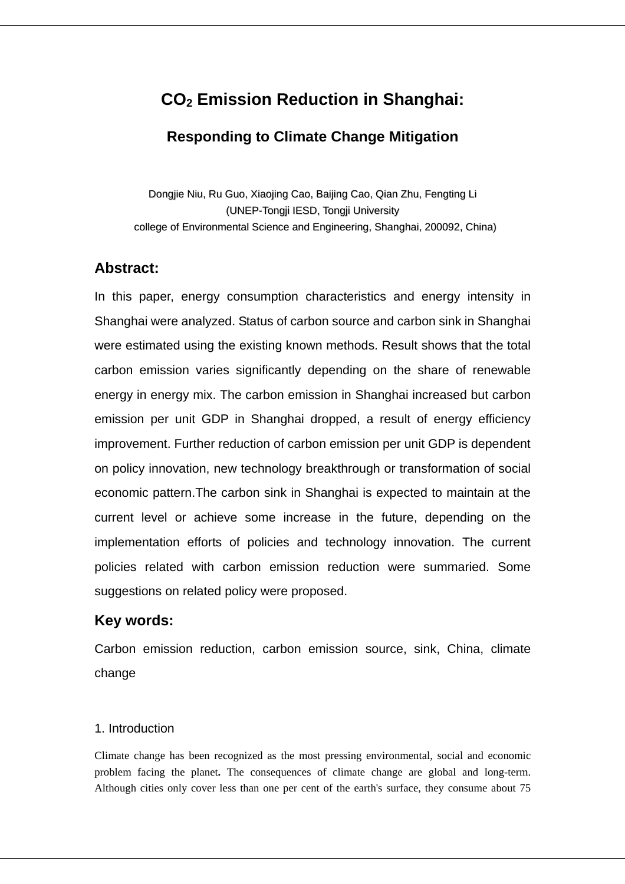# **CO2 Emission Reduction in Shanghai:**

## **Responding to Climate Change Mitigation**

Dongjie Niu, Ru Guo, Xiaojing Cao, Baijing Cao, Qian Zhu, Fengting Li (UNEP-Tongji IESD, Tongji University college of Environmental Science and Engineering, Shanghai, 200092, China)

## **Abstract:**

In this paper, energy consumption characteristics and energy intensity in Shanghai were analyzed. Status of carbon source and carbon sink in Shanghai were estimated using the existing known methods. Result shows that the total carbon emission varies significantly depending on the share of renewable energy in energy mix. The carbon emission in Shanghai increased but carbon emission per unit GDP in Shanghai dropped, a result of energy efficiency improvement. Further reduction of carbon emission per unit GDP is dependent on policy innovation, new technology breakthrough or transformation of social economic pattern.The carbon sink in Shanghai is expected to maintain at the current level or achieve some increase in the future, depending on the implementation efforts of policies and technology innovation. The current policies related with carbon emission reduction were summaried. Some suggestions on related policy were proposed.

## **Key words:**

Carbon emission reduction, carbon emission source, sink, China, climate change

## 1. Introduction

Climate change has been recognized as the most pressing environmental, social and economic problem facing the planet**.** The consequences of climate change are global and long-term. Although cities only cover less than one per cent of the earth's surface, they consume about 75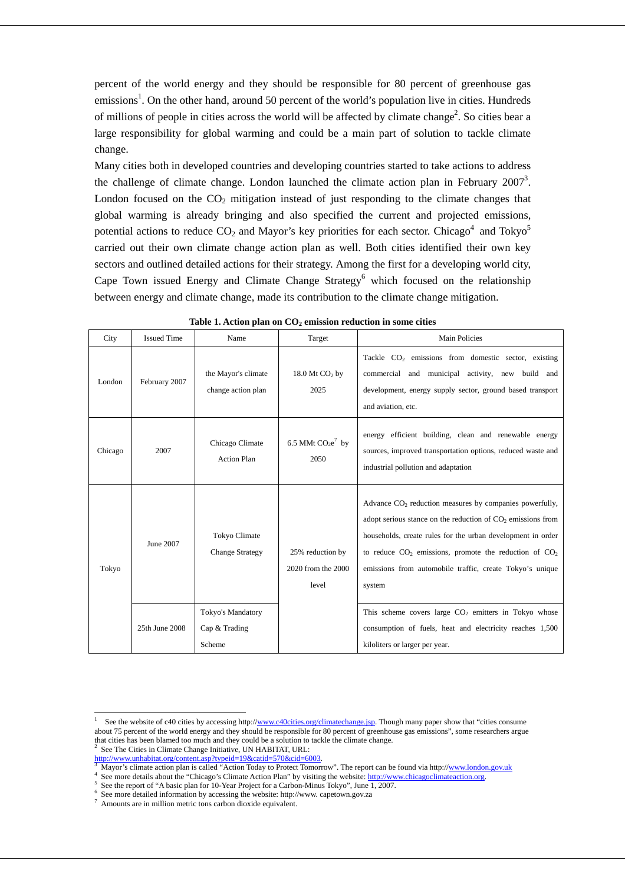percent of the world energy and they should be responsible for 80 percent of greenhouse gas emissions<sup>1</sup>. On the other hand, around 50 percent of the world's population live in cities. Hundreds of millions of people in cities across the world will be affected by climate change<sup>2</sup>. So cities bear a large responsibility for global warming and could be a main part of solution to tackle climate change.

Many cities both in developed countries and developing countries started to take actions to address the challenge of climate change. London launched the climate action plan in February  $2007<sup>3</sup>$ . London focused on the  $CO<sub>2</sub>$  mitigation instead of just responding to the climate changes that global warming is already bringing and also specified the current and projected emissions, potential actions to reduce  $CO_2$  and Mayor's key priorities for each sector. Chicago<sup>4</sup> and Tokyo<sup>5</sup> carried out their own climate change action plan as well. Both cities identified their own key sectors and outlined detailed actions for their strategy. Among the first for a developing world city, Cape Town issued Energy and Climate Change  $Strategy<sup>6</sup>$  which focused on the relationship between energy and climate change, made its contribution to the climate change mitigation.

| City    | <b>Issued Time</b> | Name                                           | Target                                          | <b>Main Policies</b>                                                                                                                                                                                                                                                                                                           |
|---------|--------------------|------------------------------------------------|-------------------------------------------------|--------------------------------------------------------------------------------------------------------------------------------------------------------------------------------------------------------------------------------------------------------------------------------------------------------------------------------|
| London  | February 2007      | the Mayor's climate<br>change action plan      | 18.0 Mt $CO2$ by<br>2025                        | Tackle CO <sub>2</sub> emissions from domestic sector, existing<br>commercial and municipal activity, new build and<br>development, energy supply sector, ground based transport<br>and aviation, etc.                                                                                                                         |
| Chicago | 2007               | Chicago Climate<br><b>Action Plan</b>          | 6.5 MMt $CO2e7$ by<br>2050                      | energy efficient building, clean and renewable energy<br>sources, improved transportation options, reduced waste and<br>industrial pollution and adaptation                                                                                                                                                                    |
| Tokyo   | June 2007          | <b>Tokyo Climate</b><br><b>Change Strategy</b> | 25% reduction by<br>2020 from the 2000<br>level | Advance $CO2$ reduction measures by companies powerfully,<br>adopt serious stance on the reduction of $CO2$ emissions from<br>households, create rules for the urban development in order<br>to reduce $CO_2$ emissions, promote the reduction of $CO_2$<br>emissions from automobile traffic, create Tokyo's unique<br>system |
|         | 25th June 2008     | Tokyo's Mandatory<br>Cap & Trading<br>Scheme   |                                                 | This scheme covers large $CO2$ emitters in Tokyo whose<br>consumption of fuels, heat and electricity reaches 1,500<br>kiloliters or larger per year.                                                                                                                                                                           |

Table 1. Action plan on  $CO<sub>2</sub>$  emission reduction in some cities

 $\overline{a}$ 

<sup>1</sup> See the website of c40 cities by accessing http://www.c40cities.org/climatechange.jsp. Though many paper show that "cities consume about 75 percent of the world energy and they should be responsible for 80 percent of greenhouse gas emissions", some researchers argue that cities has been blamed too much and they could be a solution to tackle the climate change.<br><sup>2</sup> See The Cities in Climate Change Initiative, **IN HAPITAT JIPL.** See The Cities in Climate Change Initiative, UN HABITAT, URL:

http://www.unhabitat.org/content.asp?typeid=19&catid=570&cid=6003.

Mayor's climate action plan is called "Action Today to Protect Tomorrow". The report can be found via http://www.london.gov.uk <sup>4</sup>

See more details about the "Chicago's Climate Action Plan" by visiting the website: http://www.chicagoclimateaction.org.

See the report of "A basic plan for 10-Year Project for a Carbon-Minus Tokyo", June 1, 2007.

<sup>6</sup> See more detailed information by accessing the website: http://www. capetown.gov.za

<sup>7</sup> Amounts are in million metric tons carbon dioxide equivalent.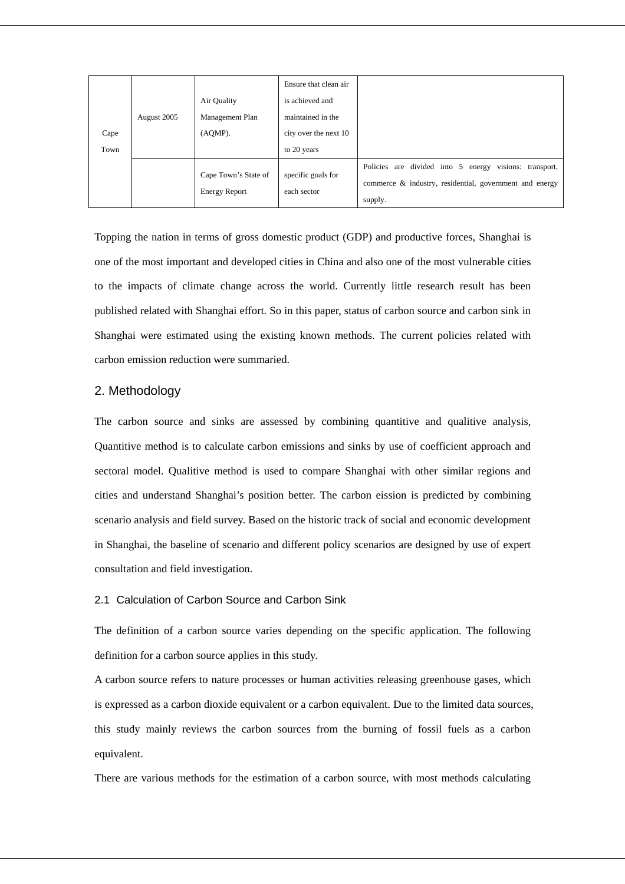| Cape<br>Town | August 2005 | Air Quality<br>Management Plan<br>(AQMP).    | Ensure that clean air<br>is achieved and<br>maintained in the<br>city over the next 10<br>to 20 years |                                                                                                                                    |
|--------------|-------------|----------------------------------------------|-------------------------------------------------------------------------------------------------------|------------------------------------------------------------------------------------------------------------------------------------|
|              |             | Cape Town's State of<br><b>Energy Report</b> | specific goals for<br>each sector                                                                     | energy visions:<br>Policies are divided into 5<br>transport,<br>commerce & industry, residential, government and energy<br>supply. |

Topping the nation in terms of gross domestic product (GDP) and productive forces, Shanghai is one of the most important and developed cities in China and also one of the most vulnerable cities to the impacts of climate change across the world. Currently little research result has been published related with Shanghai effort. So in this paper, status of carbon source and carbon sink in Shanghai were estimated using the existing known methods. The current policies related with carbon emission reduction were summaried.

## 2. Methodology

The carbon source and sinks are assessed by combining quantitive and qualitive analysis, Quantitive method is to calculate carbon emissions and sinks by use of coefficient approach and sectoral model. Qualitive method is used to compare Shanghai with other similar regions and cities and understand Shanghai's position better. The carbon eission is predicted by combining scenario analysis and field survey. Based on the historic track of social and economic development in Shanghai, the baseline of scenario and different policy scenarios are designed by use of expert consultation and field investigation.

## 2.1 Calculation of Carbon Source and Carbon Sink

The definition of a carbon source varies depending on the specific application. The following definition for a carbon source applies in this study.

A carbon source refers to nature processes or human activities releasing greenhouse gases, which is expressed as a carbon dioxide equivalent or a carbon equivalent. Due to the limited data sources, this study mainly reviews the carbon sources from the burning of fossil fuels as a carbon equivalent.

There are various methods for the estimation of a carbon source, with most methods calculating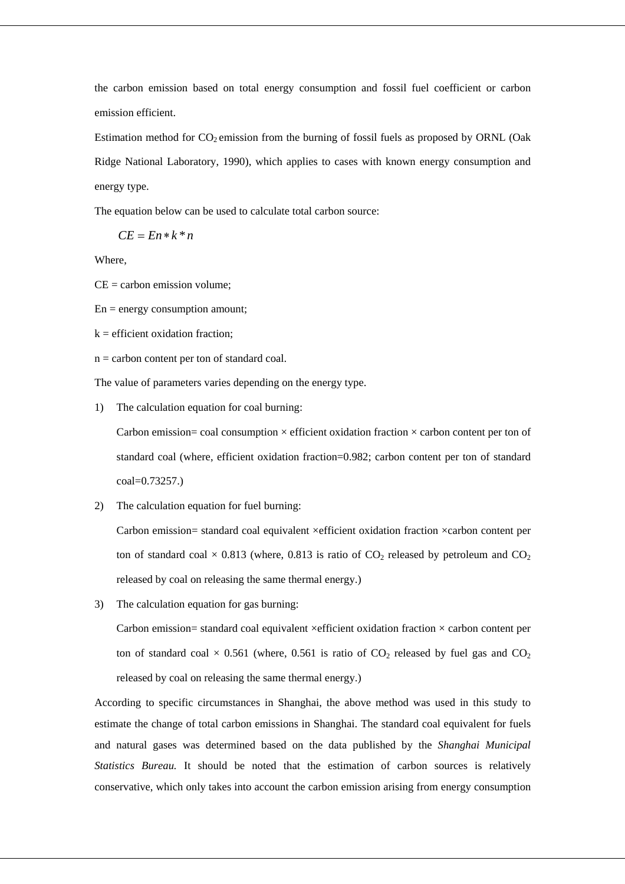the carbon emission based on total energy consumption and fossil fuel coefficient or carbon emission efficient.

Estimation method for  $CO_2$  emission from the burning of fossil fuels as proposed by ORNL (Oak Ridge National Laboratory, 1990), which applies to cases with known energy consumption and energy type.

The equation below can be used to calculate total carbon source:

$$
CE = En*k*n
$$

Where,

 $CE =$  carbon emission volume;

 $En = energy consumption amount;$ 

 $k =$  efficient oxidation fraction:

n = carbon content per ton of standard coal.

The value of parameters varies depending on the energy type.

1) The calculation equation for coal burning:

Carbon emission= coal consumption  $\times$  efficient oxidation fraction  $\times$  carbon content per ton of standard coal (where, efficient oxidation fraction=0.982; carbon content per ton of standard coal=0.73257.)

2) The calculation equation for fuel burning:

Carbon emission= standard coal equivalent ×efficient oxidation fraction ×carbon content per ton of standard coal  $\times$  0.813 (where, 0.813 is ratio of CO<sub>2</sub> released by petroleum and CO<sub>2</sub> released by coal on releasing the same thermal energy.)

3) The calculation equation for gas burning:

Carbon emission= standard coal equivalent  $\times$ efficient oxidation fraction  $\times$  carbon content per ton of standard coal  $\times$  0.561 (where, 0.561 is ratio of CO<sub>2</sub> released by fuel gas and CO<sub>2</sub> released by coal on releasing the same thermal energy.)

According to specific circumstances in Shanghai, the above method was used in this study to estimate the change of total carbon emissions in Shanghai. The standard coal equivalent for fuels and natural gases was determined based on the data published by the *Shanghai Municipal Statistics Bureau.* It should be noted that the estimation of carbon sources is relatively conservative, which only takes into account the carbon emission arising from energy consumption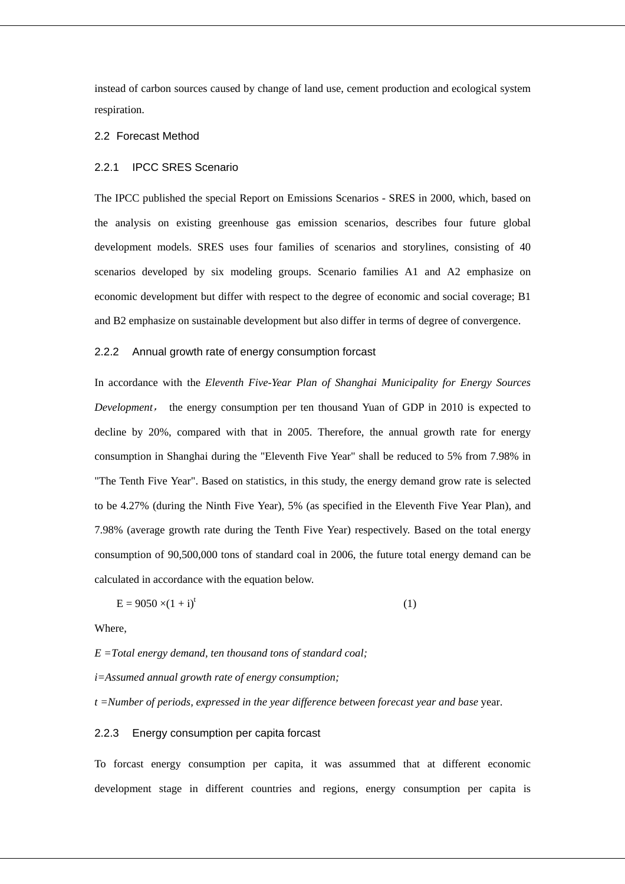instead of carbon sources caused by change of land use, cement production and ecological system respiration.

#### 2.2 Forecast Method

## 2.2.1 IPCC SRES Scenario

The IPCC published the special Report on Emissions Scenarios - SRES in 2000, which, based on the analysis on existing greenhouse gas emission scenarios, describes four future global development models. SRES uses four families of scenarios and storylines, consisting of 40 scenarios developed by six modeling groups. Scenario families A1 and A2 emphasize on economic development but differ with respect to the degree of economic and social coverage; B1 and B2 emphasize on sustainable development but also differ in terms of degree of convergence.

## 2.2.2 Annual growth rate of energy consumption forcast

In accordance with the *Eleventh Five-Year Plan of Shanghai Municipality for Energy Sources Development*, the energy consumption per ten thousand Yuan of GDP in 2010 is expected to decline by 20%, compared with that in 2005. Therefore, the annual growth rate for energy consumption in Shanghai during the "Eleventh Five Year" shall be reduced to 5% from 7.98% in "The Tenth Five Year". Based on statistics, in this study, the energy demand grow rate is selected to be 4.27% (during the Ninth Five Year), 5% (as specified in the Eleventh Five Year Plan), and 7.98% (average growth rate during the Tenth Five Year) respectively. Based on the total energy consumption of 90,500,000 tons of standard coal in 2006, the future total energy demand can be calculated in accordance with the equation below.

$$
E = 9050 \times (1 + i)^t \tag{1}
$$

Where,

*E =Total energy demand, ten thousand tons of standard coal;* 

*i=Assumed annual growth rate of energy consumption;* 

*t =Number of periods, expressed in the year difference between forecast year and base* year.

#### 2.2.3 Energy consumption per capita forcast

To forcast energy consumption per capita, it was assummed that at different economic development stage in different countries and regions, energy consumption per capita is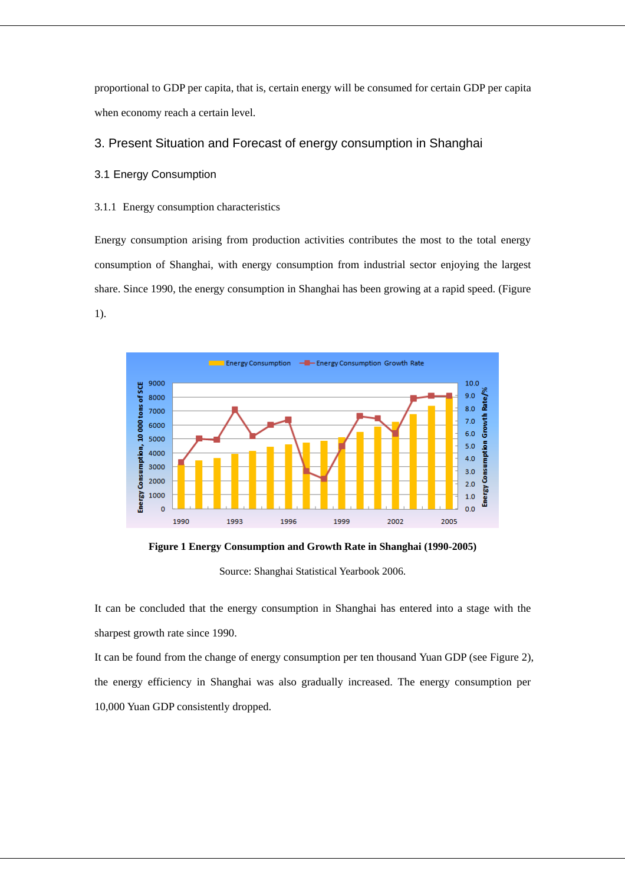proportional to GDP per capita, that is, certain energy will be consumed for certain GDP per capita when economy reach a certain level.

## 3. Present Situation and Forecast of energy consumption in Shanghai

## 3.1 Energy Consumption

## 3.1.1 Energy consumption characteristics

Energy consumption arising from production activities contributes the most to the total energy consumption of Shanghai, with energy consumption from industrial sector enjoying the largest share. Since 1990, the energy consumption in Shanghai has been growing at a rapid speed. (Figure 1).



**Figure 1 Energy Consumption and Growth Rate in Shanghai (1990-2005)** 

Source: Shanghai Statistical Yearbook 2006.

It can be concluded that the energy consumption in Shanghai has entered into a stage with the sharpest growth rate since 1990.

It can be found from the change of energy consumption per ten thousand Yuan GDP (see Figure 2), the energy efficiency in Shanghai was also gradually increased. The energy consumption per 10,000 Yuan GDP consistently dropped.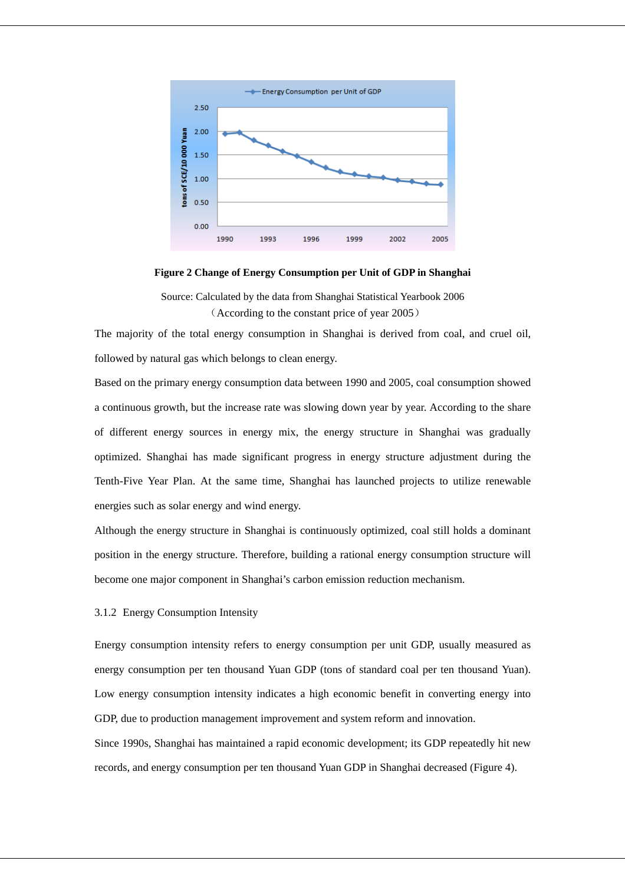

**Figure 2 Change of Energy Consumption per Unit of GDP in Shanghai** 

Source: Calculated by the data from Shanghai Statistical Yearbook 2006 (According to the constant price of year 2005)

The majority of the total energy consumption in Shanghai is derived from coal, and cruel oil, followed by natural gas which belongs to clean energy.

Based on the primary energy consumption data between 1990 and 2005, coal consumption showed a continuous growth, but the increase rate was slowing down year by year. According to the share of different energy sources in energy mix, the energy structure in Shanghai was gradually optimized. Shanghai has made significant progress in energy structure adjustment during the Tenth-Five Year Plan. At the same time, Shanghai has launched projects to utilize renewable energies such as solar energy and wind energy.

Although the energy structure in Shanghai is continuously optimized, coal still holds a dominant position in the energy structure. Therefore, building a rational energy consumption structure will become one major component in Shanghai's carbon emission reduction mechanism.

### 3.1.2 Energy Consumption Intensity

Energy consumption intensity refers to energy consumption per unit GDP, usually measured as energy consumption per ten thousand Yuan GDP (tons of standard coal per ten thousand Yuan). Low energy consumption intensity indicates a high economic benefit in converting energy into GDP, due to production management improvement and system reform and innovation.

Since 1990s, Shanghai has maintained a rapid economic development; its GDP repeatedly hit new records, and energy consumption per ten thousand Yuan GDP in Shanghai decreased (Figure 4).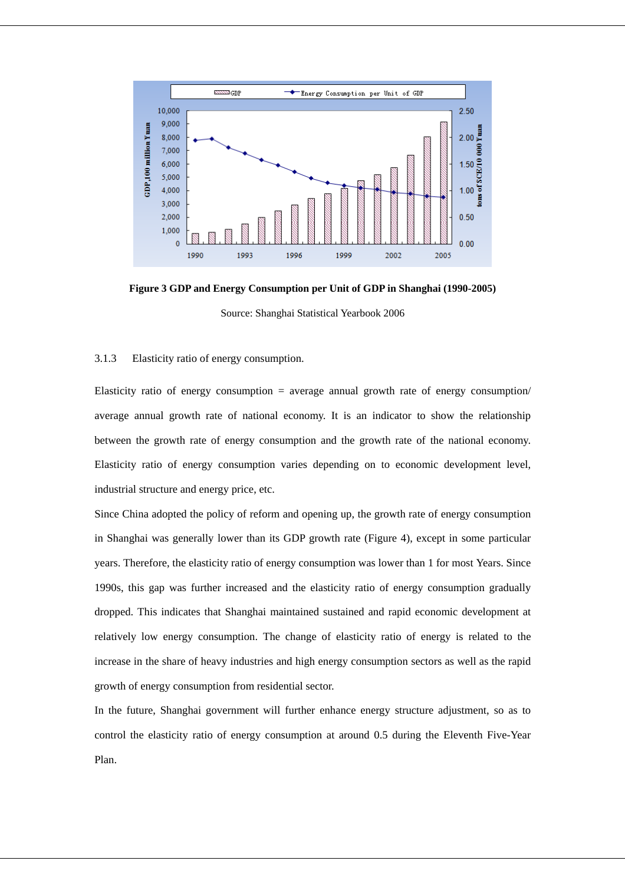

**Figure 3 GDP and Energy Consumption per Unit of GDP in Shanghai (1990-2005)**  Source: Shanghai Statistical Yearbook 2006

### 3.1.3 Elasticity ratio of energy consumption.

Elasticity ratio of energy consumption = average annual growth rate of energy consumption/ average annual growth rate of national economy. It is an indicator to show the relationship between the growth rate of energy consumption and the growth rate of the national economy. Elasticity ratio of energy consumption varies depending on to economic development level, industrial structure and energy price, etc.

Since China adopted the policy of reform and opening up, the growth rate of energy consumption in Shanghai was generally lower than its GDP growth rate (Figure 4), except in some particular years. Therefore, the elasticity ratio of energy consumption was lower than 1 for most Years. Since 1990s, this gap was further increased and the elasticity ratio of energy consumption gradually dropped. This indicates that Shanghai maintained sustained and rapid economic development at relatively low energy consumption. The change of elasticity ratio of energy is related to the increase in the share of heavy industries and high energy consumption sectors as well as the rapid growth of energy consumption from residential sector.

In the future, Shanghai government will further enhance energy structure adjustment, so as to control the elasticity ratio of energy consumption at around 0.5 during the Eleventh Five-Year Plan.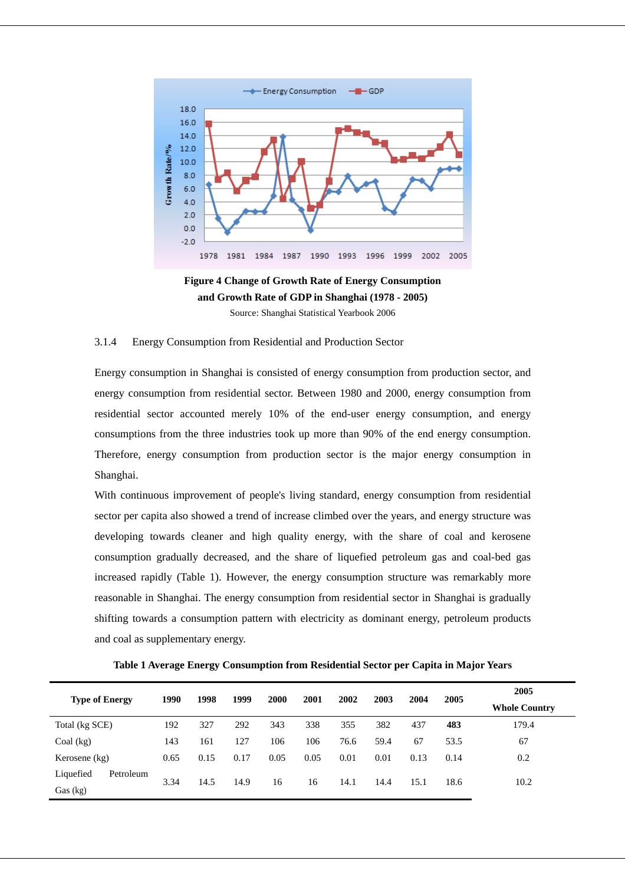

**Figure 4 Change of Growth Rate of Energy Consumption and Growth Rate of GDP in Shanghai (1978 - 2005)**  Source: Shanghai Statistical Yearbook 2006

## 3.1.4 Energy Consumption from Residential and Production Sector

Energy consumption in Shanghai is consisted of energy consumption from production sector, and energy consumption from residential sector. Between 1980 and 2000, energy consumption from residential sector accounted merely 10% of the end-user energy consumption, and energy consumptions from the three industries took up more than 90% of the end energy consumption. Therefore, energy consumption from production sector is the major energy consumption in Shanghai.

With continuous improvement of people's living standard, energy consumption from residential sector per capita also showed a trend of increase climbed over the years, and energy structure was developing towards cleaner and high quality energy, with the share of coal and kerosene consumption gradually decreased, and the share of liquefied petroleum gas and coal-bed gas increased rapidly (Table 1). However, the energy consumption structure was remarkably more reasonable in Shanghai. The energy consumption from residential sector in Shanghai is gradually shifting towards a consumption pattern with electricity as dominant energy, petroleum products and coal as supplementary energy.

**Table 1 Average Energy Consumption from Residential Sector per Capita in Major Years** 

|                        |      | 1998 |      |      |      | 2001<br>2002 | 2003 | 2004 | 2005 | 2005                 |
|------------------------|------|------|------|------|------|--------------|------|------|------|----------------------|
| <b>Type of Energy</b>  | 1990 |      | 1999 | 2000 |      |              |      |      |      | <b>Whole Country</b> |
| Total (kg SCE)         | 192  | 327  | 292  | 343  | 338  | 355          | 382  | 437  | 483  | 179.4                |
| Coal (kg)              | 143  | 161  | 127  | 106  | 106  | 76.6         | 59.4 | 67   | 53.5 | 67                   |
| Kerosene (kg)          | 0.65 | 0.15 | 0.17 | 0.05 | 0.05 | 0.01         | 0.01 | 0.13 | 0.14 | 0.2                  |
| Liquefied<br>Petroleum |      |      |      |      |      |              |      |      |      |                      |
| Gas (kg)               | 3.34 | 14.5 | 14.9 | 16   | 16   | 14.1         | 14.4 | 15.1 | 18.6 | 10.2                 |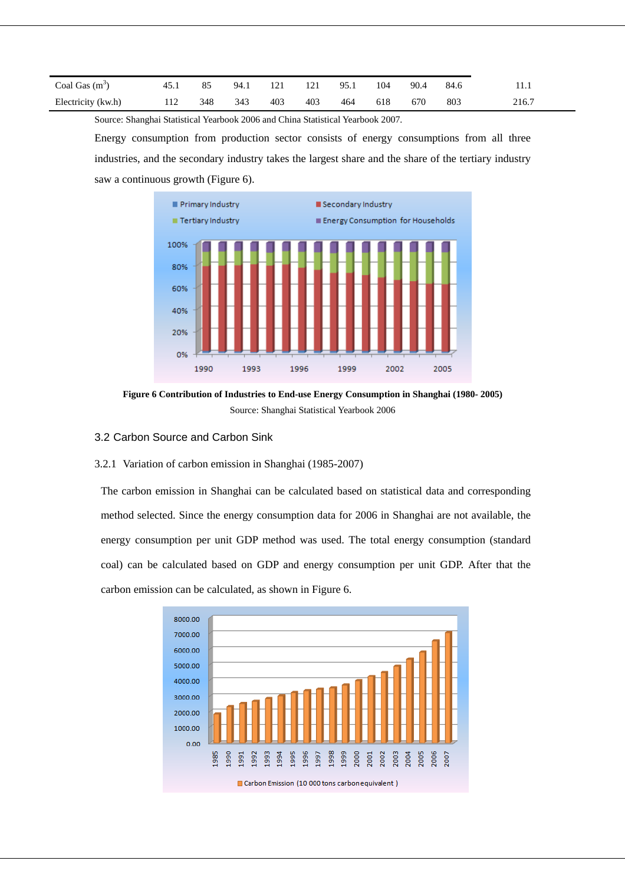| Coal Gas $(m^3)$   | $\overline{45}$ | 85  | 94.1 |     | 14 I | 95.1 | 104 | 90.4 | 84.6 | .     |
|--------------------|-----------------|-----|------|-----|------|------|-----|------|------|-------|
| Electricity (kw.h) | 1 1 Z           | 348 | 343  | 403 | 403  | 464  | 618 | 670  | 803  | 216.7 |

Source: Shanghai Statistical Yearbook 2006 and China Statistical Yearbook 2007.

Energy consumption from production sector consists of energy consumptions from all three industries, and the secondary industry takes the largest share and the share of the tertiary industry saw a continuous growth (Figure 6).



**Figure 6 Contribution of Industries to End-use Energy Consumption in Shanghai (1980- 2005)**  Source: Shanghai Statistical Yearbook 2006

- 3.2 Carbon Source and Carbon Sink
- 3.2.1 Variation of carbon emission in Shanghai (1985-2007)

The carbon emission in Shanghai can be calculated based on statistical data and corresponding method selected. Since the energy consumption data for 2006 in Shanghai are not available, the energy consumption per unit GDP method was used. The total energy consumption (standard coal) can be calculated based on GDP and energy consumption per unit GDP. After that the carbon emission can be calculated, as shown in Figure 6.

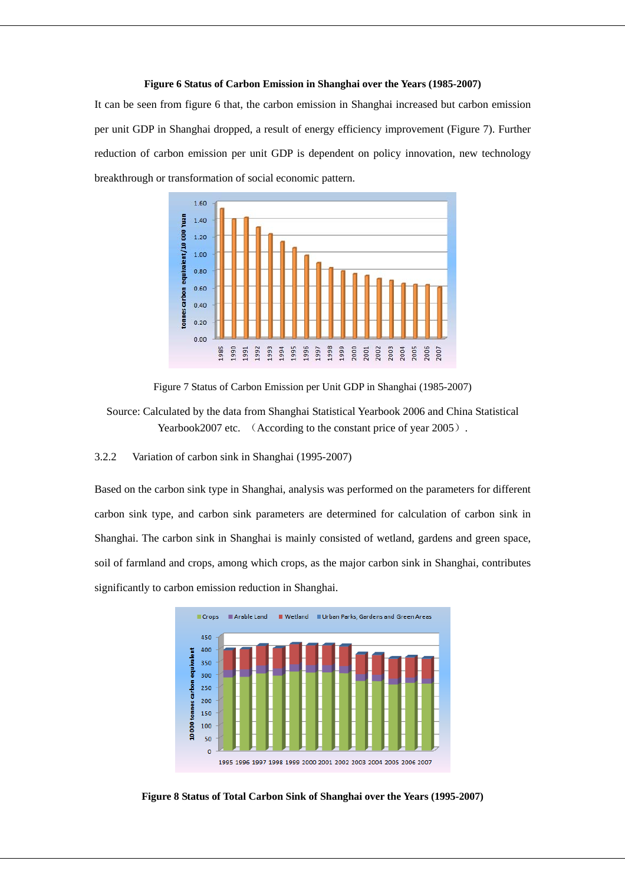#### **Figure 6 Status of Carbon Emission in Shanghai over the Years (1985-2007)**

It can be seen from figure 6 that, the carbon emission in Shanghai increased but carbon emission per unit GDP in Shanghai dropped, a result of energy efficiency improvement (Figure 7). Further reduction of carbon emission per unit GDP is dependent on policy innovation, new technology breakthrough or transformation of social economic pattern.



Figure 7 Status of Carbon Emission per Unit GDP in Shanghai (1985-2007)

Source: Calculated by the data from Shanghai Statistical Yearbook 2006 and China Statistical Yearbook2007 etc. (According to the constant price of year 2005).

3.2.2 Variation of carbon sink in Shanghai (1995-2007)

Based on the carbon sink type in Shanghai, analysis was performed on the parameters for different carbon sink type, and carbon sink parameters are determined for calculation of carbon sink in Shanghai. The carbon sink in Shanghai is mainly consisted of wetland, gardens and green space, soil of farmland and crops, among which crops, as the major carbon sink in Shanghai, contributes significantly to carbon emission reduction in Shanghai.



**Figure 8 Status of Total Carbon Sink of Shanghai over the Years (1995-2007)**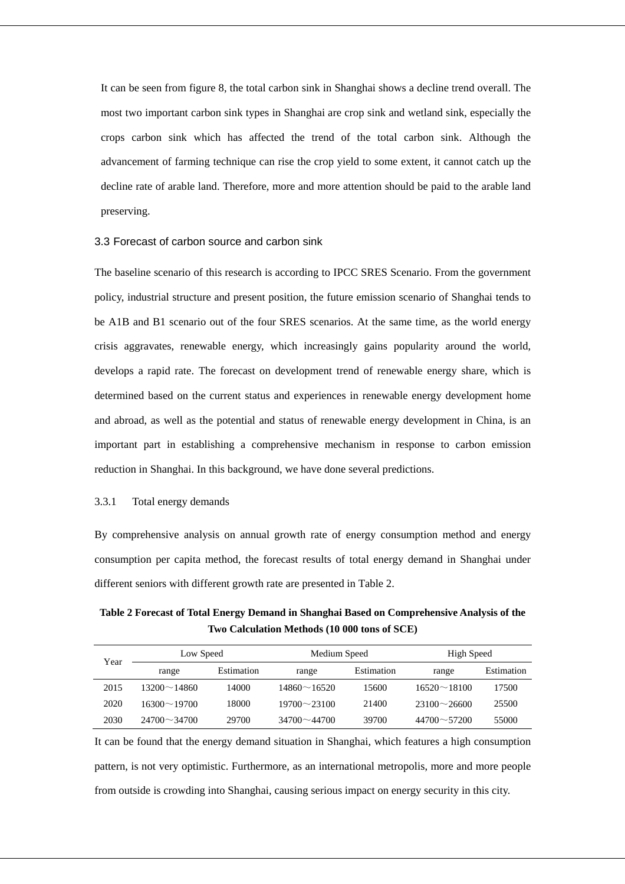It can be seen from figure 8, the total carbon sink in Shanghai shows a decline trend overall. The most two important carbon sink types in Shanghai are crop sink and wetland sink, especially the crops carbon sink which has affected the trend of the total carbon sink. Although the advancement of farming technique can rise the crop yield to some extent, it cannot catch up the decline rate of arable land. Therefore, more and more attention should be paid to the arable land preserving.

### 3.3 Forecast of carbon source and carbon sink

The baseline scenario of this research is according to IPCC SRES Scenario. From the government policy, industrial structure and present position, the future emission scenario of Shanghai tends to be A1B and B1 scenario out of the four SRES scenarios. At the same time, as the world energy crisis aggravates, renewable energy, which increasingly gains popularity around the world, develops a rapid rate. The forecast on development trend of renewable energy share, which is determined based on the current status and experiences in renewable energy development home and abroad, as well as the potential and status of renewable energy development in China, is an important part in establishing a comprehensive mechanism in response to carbon emission reduction in Shanghai. In this background, we have done several predictions.

## 3.3.1 Total energy demands

By comprehensive analysis on annual growth rate of energy consumption method and energy consumption per capita method, the forecast results of total energy demand in Shanghai under different seniors with different growth rate are presented in Table 2.

## **Table 2 Forecast of Total Energy Demand in Shanghai Based on Comprehensive Analysis of the Two Calculation Methods (10 000 tons of SCE)**

| Year | Low Speed          |            | Medium Speed       |            | High Speed         |            |  |
|------|--------------------|------------|--------------------|------------|--------------------|------------|--|
|      | range              | Estimation | range              | Estimation | range              | Estimation |  |
| 2015 | $13200 \sim 14860$ | 14000      | $14860 \sim 16520$ | 15600      | $16520 \sim 18100$ | 17500      |  |
| 2020 | $16300 \sim 19700$ | 18000      | $19700 \sim 23100$ | 21400      | $23100 \sim 26600$ | 25500      |  |
| 2030 | $24700 \sim 34700$ | 29700      | $34700 \sim 44700$ | 39700      | $44700 \sim 57200$ | 55000      |  |

It can be found that the energy demand situation in Shanghai, which features a high consumption pattern, is not very optimistic. Furthermore, as an international metropolis, more and more people from outside is crowding into Shanghai, causing serious impact on energy security in this city.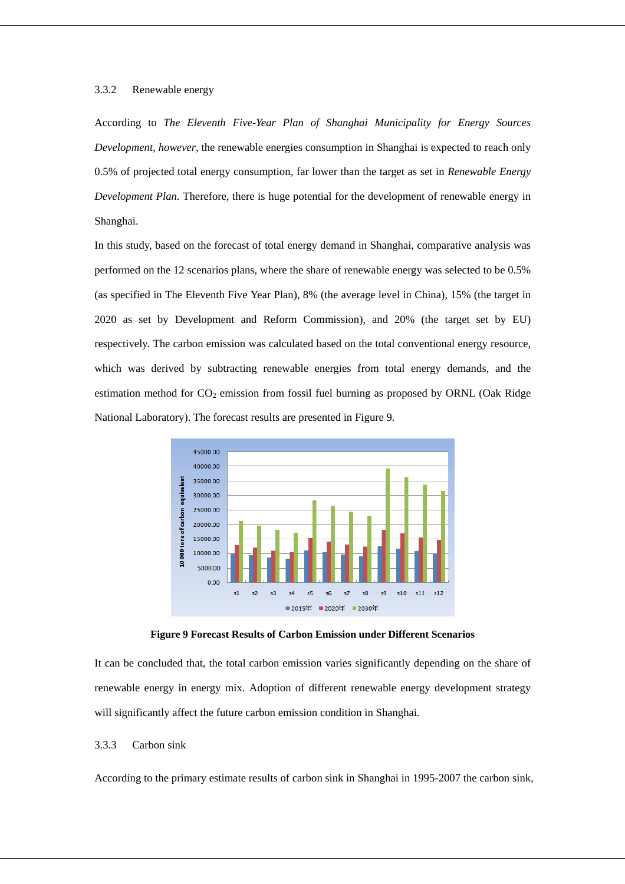## 3.3.2 Renewable energy

According to *The Eleventh Five-Year Plan of Shanghai Municipality for Energy Sources Development, however*, the renewable energies consumption in Shanghai is expected to reach only 0.5% of projected total energy consumption, far lower than the target as set in *Renewable Energy Development Plan*. Therefore, there is huge potential for the development of renewable energy in Shanghai.

In this study, based on the forecast of total energy demand in Shanghai, comparative analysis was performed on the 12 scenarios plans, where the share of renewable energy was selected to be 0.5% (as specified in The Eleventh Five Year Plan), 8% (the average level in China), 15% (the target in 2020 as set by Development and Reform Commission), and 20% (the target set by EU) respectively. The carbon emission was calculated based on the total conventional energy resource, which was derived by subtracting renewable energies from total energy demands, and the estimation method for  $CO<sub>2</sub>$  emission from fossil fuel burning as proposed by ORNL (Oak Ridge National Laboratory). The forecast results are presented in Figure 9.



**Figure 9 Forecast Results of Carbon Emission under Different Scenarios** 

It can be concluded that, the total carbon emission varies significantly depending on the share of renewable energy in energy mix. Adoption of different renewable energy development strategy will significantly affect the future carbon emission condition in Shanghai.

## 3.3.3 Carbon sink

According to the primary estimate results of carbon sink in Shanghai in 1995-2007 the carbon sink,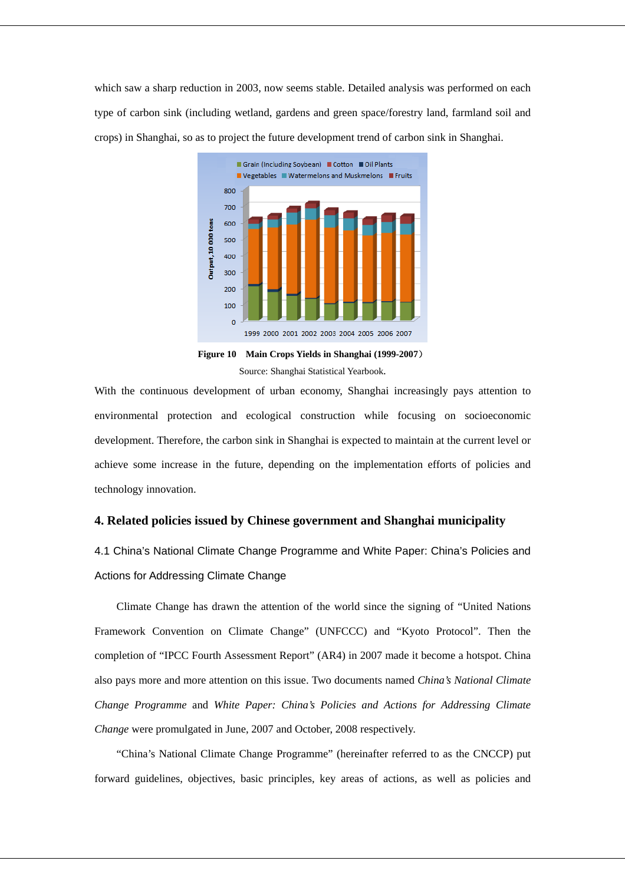which saw a sharp reduction in 2003, now seems stable. Detailed analysis was performed on each type of carbon sink (including wetland, gardens and green space/forestry land, farmland soil and crops) in Shanghai, so as to project the future development trend of carbon sink in Shanghai.



**Figure 10 Main Crops Yields in Shanghai (1999-2007**) Source: Shanghai Statistical Yearbook.

With the continuous development of urban economy, Shanghai increasingly pays attention to environmental protection and ecological construction while focusing on socioeconomic development. Therefore, the carbon sink in Shanghai is expected to maintain at the current level or achieve some increase in the future, depending on the implementation efforts of policies and technology innovation.

## **4. Related policies issued by Chinese government and Shanghai municipality**

4.1 China's National Climate Change Programme and White Paper: China's Policies and Actions for Addressing Climate Change

Climate Change has drawn the attention of the world since the signing of "United Nations Framework Convention on Climate Change" (UNFCCC) and "Kyoto Protocol". Then the completion of "IPCC Fourth Assessment Report" (AR4) in 2007 made it become a hotspot. China also pays more and more attention on this issue. Two documents named *China's National Climate Change Programme* and *White Paper: China's Policies and Actions for Addressing Climate Change* were promulgated in June, 2007 and October, 2008 respectively.

"China's National Climate Change Programme" (hereinafter referred to as the CNCCP) put forward guidelines, objectives, basic principles, key areas of actions, as well as policies and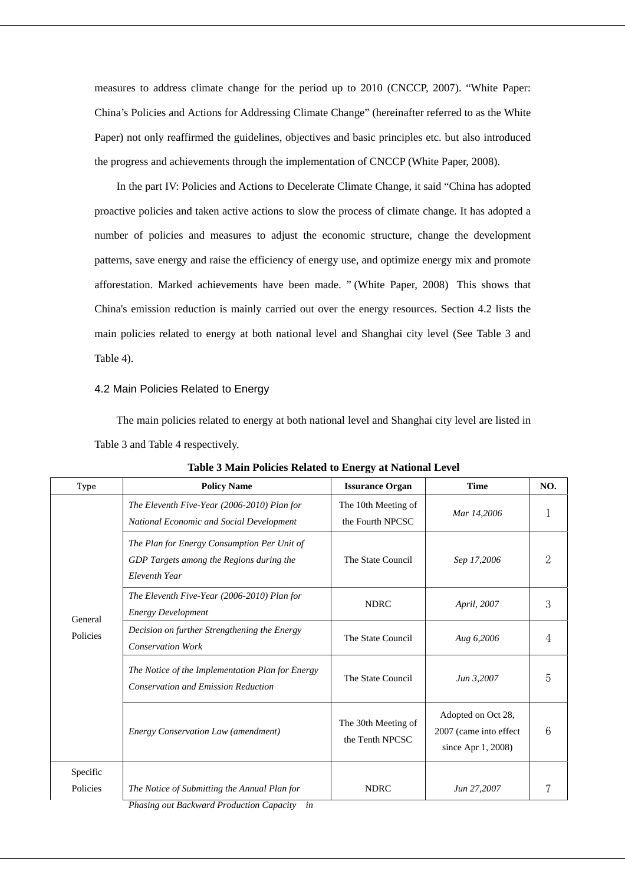measures to address climate change for the period up to 2010 (CNCCP, 2007). "White Paper: China's Policies and Actions for Addressing Climate Change" (hereinafter referred to as the White Paper) not only reaffirmed the guidelines, objectives and basic principles etc. but also introduced the progress and achievements through the implementation of CNCCP (White Paper, 2008).

In the part IV: Policies and Actions to Decelerate Climate Change, it said "China has adopted proactive policies and taken active actions to slow the process of climate change. It has adopted a number of policies and measures to adjust the economic structure, change the development patterns, save energy and raise the efficiency of energy use, and optimize energy mix and promote afforestation. Marked achievements have been made. " (White Paper, 2008) This shows that China's emission reduction is mainly carried out over the energy resources. Section 4.2 lists the main policies related to energy at both national level and Shanghai city level (See Table 3 and Table 4).

### 4.2 Main Policies Related to Energy

The main policies related to energy at both national level and Shanghai city level are listed in Table 3 and Table 4 respectively.

| Type                                                                                                                                                                                            | <b>Policy Name</b>                                                                             | <b>Issurance Organ</b>                  | <b>Time</b>                                                           | NO. |
|-------------------------------------------------------------------------------------------------------------------------------------------------------------------------------------------------|------------------------------------------------------------------------------------------------|-----------------------------------------|-----------------------------------------------------------------------|-----|
|                                                                                                                                                                                                 | The Eleventh Five-Year (2006-2010) Plan for<br>National Economic and Social Development        | The 10th Meeting of<br>the Fourth NPCSC | Mar 14,2006                                                           |     |
| The Plan for Energy Consumption Per Unit of<br>GDP Targets among the Regions during the<br>Eleventh Year<br>The Eleventh Five-Year (2006-2010) Plan for<br><b>Energy Development</b><br>General |                                                                                                | The State Council                       | Sep 17,2006                                                           |     |
|                                                                                                                                                                                                 |                                                                                                | <b>NDRC</b>                             | April, 2007                                                           | 3   |
| Policies                                                                                                                                                                                        | Decision on further Strengthening the Energy<br><b>Conservation Work</b>                       | The State Council                       | Aug 6,2006                                                            |     |
|                                                                                                                                                                                                 | The Notice of the Implementation Plan for Energy<br><b>Conservation and Emission Reduction</b> | The State Council                       | Jun 3,2007                                                            | 5   |
|                                                                                                                                                                                                 | <b>Energy Conservation Law (amendment)</b>                                                     | The 30th Meeting of<br>the Tenth NPCSC  | Adopted on Oct 28,<br>2007 (came into effect<br>since Apr $1, 2008$ ) | 6   |
| Specific                                                                                                                                                                                        |                                                                                                |                                         |                                                                       |     |
| Policies                                                                                                                                                                                        | The Notice of Submitting the Annual Plan for<br>Dhosing and Doolproad Duadrotion Congoine in   | <b>NDRC</b>                             | Jun 27,2007                                                           |     |

**Table 3 Main Policies Related to Energy at National Level** 

*Phasing out Backward Production Capacity in*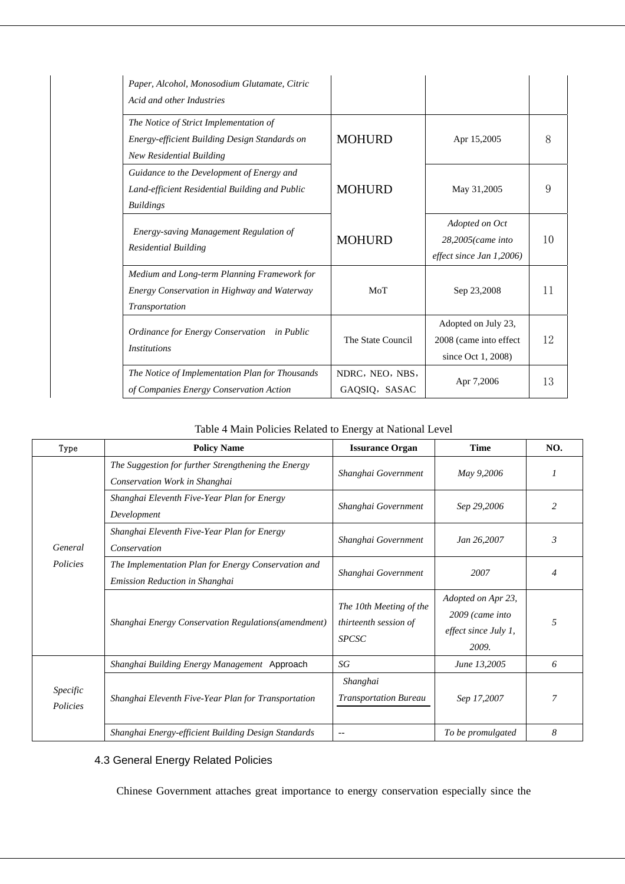| Paper, Alcohol, Monosodium Glutamate, Citric<br>Acid and other Industries                                           |                                  |                                                                      |    |
|---------------------------------------------------------------------------------------------------------------------|----------------------------------|----------------------------------------------------------------------|----|
| The Notice of Strict Implementation of<br>Energy-efficient Building Design Standards on<br>New Residential Building | <b>MOHURD</b>                    | Apr 15,2005                                                          | 8  |
| Guidance to the Development of Energy and<br>Land-efficient Residential Building and Public<br><b>Buildings</b>     | <b>MOHURD</b>                    | May 31,2005                                                          | 9  |
| Energy-saving Management Regulation of<br><b>Residential Building</b>                                               | <b>MOHURD</b>                    | Adopted on Oct<br>28,2005(came into<br>$effect$ since Jan $1,2006$ ) | 10 |
| Medium and Long-term Planning Framework for<br>Energy Conservation in Highway and Waterway<br>Transportation        | MoT                              | Sep 23,2008                                                          | 11 |
| Ordinance for Energy Conservation in Public<br><i>Institutions</i>                                                  | The State Council                | Adopted on July 23,<br>2008 (came into effect<br>since Oct 1, 2008)  | 12 |
| The Notice of Implementation Plan for Thousands<br>of Companies Energy Conservation Action                          | NDRC, NEO, NBS,<br>GAQSIQ, SASAC | Apr 7,2006                                                           | 13 |

Table 4 Main Policies Related to Energy at National Level

| Type                 | <b>Policy Name</b>                                                                    | <b>Issurance Organ</b>                                           | <b>Time</b>                                                              | NO.            |
|----------------------|---------------------------------------------------------------------------------------|------------------------------------------------------------------|--------------------------------------------------------------------------|----------------|
|                      | The Suggestion for further Strengthening the Energy<br>Conservation Work in Shanghai  | Shanghai Government                                              | May 9,2006                                                               |                |
|                      | Shanghai Eleventh Five-Year Plan for Energy<br>Development                            | Shanghai Government                                              | Sep 29,2006                                                              | $\mathfrak{D}$ |
| General              | Shanghai Eleventh Five-Year Plan for Energy<br>Conservation                           | Shanghai Government                                              | Jan 26,2007                                                              | 3              |
| Policies             | The Implementation Plan for Energy Conservation and<br>Emission Reduction in Shanghai | Shanghai Government                                              | 2007                                                                     | 4              |
|                      | Shanghai Energy Conservation Regulations(amendment)                                   | The 10th Meeting of the<br>thirteenth session of<br><b>SPCSC</b> | Adopted on Apr 23,<br>$2009$ (came into<br>effect since July 1,<br>2009. | 5              |
|                      | Shanghai Building Energy Management Approach                                          | SG                                                               | June 13,2005                                                             | 6              |
| Specific<br>Policies | Shanghai Eleventh Five-Year Plan for Transportation                                   | Shanghai<br><b>Transportation Bureau</b>                         | Sep 17,2007                                                              | 7              |
|                      | Shanghai Energy-efficient Building Design Standards                                   | $- -$                                                            | To be promulgated                                                        | 8              |

## 4.3 General Energy Related Policies

Chinese Government attaches great importance to energy conservation especially since the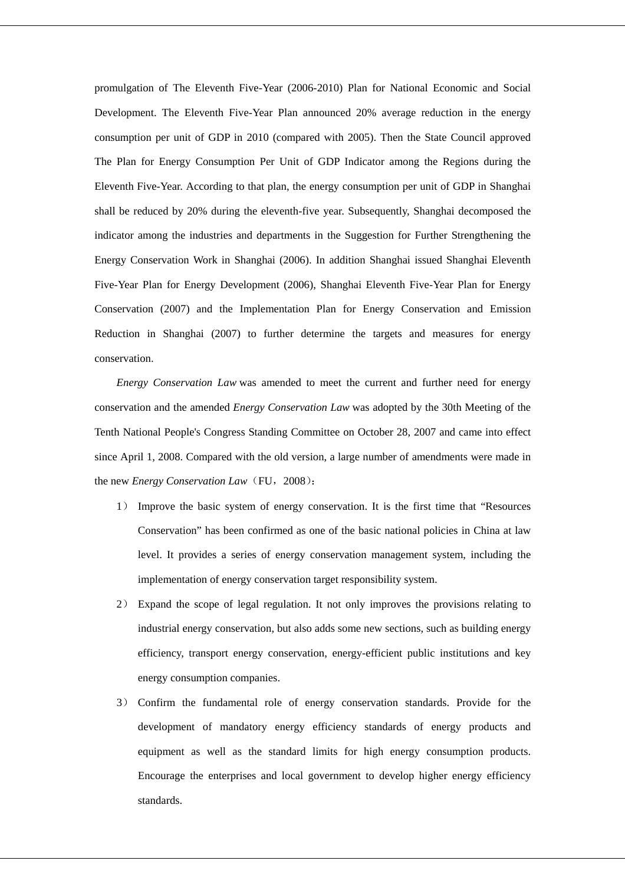promulgation of The Eleventh Five-Year (2006-2010) Plan for National Economic and Social Development. The Eleventh Five-Year Plan announced 20% average reduction in the energy consumption per unit of GDP in 2010 (compared with 2005). Then the State Council approved The Plan for Energy Consumption Per Unit of GDP Indicator among the Regions during the Eleventh Five-Year. According to that plan, the energy consumption per unit of GDP in Shanghai shall be reduced by 20% during the eleventh-five year. Subsequently, Shanghai decomposed the indicator among the industries and departments in the Suggestion for Further Strengthening the Energy Conservation Work in Shanghai (2006). In addition Shanghai issued Shanghai Eleventh Five-Year Plan for Energy Development (2006), Shanghai Eleventh Five-Year Plan for Energy Conservation (2007) and the Implementation Plan for Energy Conservation and Emission Reduction in Shanghai (2007) to further determine the targets and measures for energy conservation.

*Energy Conservation Law* was amended to meet the current and further need for energy conservation and the amended *Energy Conservation Law* was adopted by the 30th Meeting of the Tenth National People's Congress Standing Committee on October 28, 2007 and came into effect since April 1, 2008. Compared with the old version, a large number of amendments were made in the new *Energy Conservation Law* (FU, 2008):

- 1) Improve the basic system of energy conservation. It is the first time that "Resources Conservation" has been confirmed as one of the basic national policies in China at law level. It provides a series of energy conservation management system, including the implementation of energy conservation target responsibility system.
- 2) Expand the scope of legal regulation. It not only improves the provisions relating to industrial energy conservation, but also adds some new sections, such as building energy efficiency, transport energy conservation, energy-efficient public institutions and key energy consumption companies.
- 3) Confirm the fundamental role of energy conservation standards. Provide for the development of mandatory energy efficiency standards of energy products and equipment as well as the standard limits for high energy consumption products. Encourage the enterprises and local government to develop higher energy efficiency standards.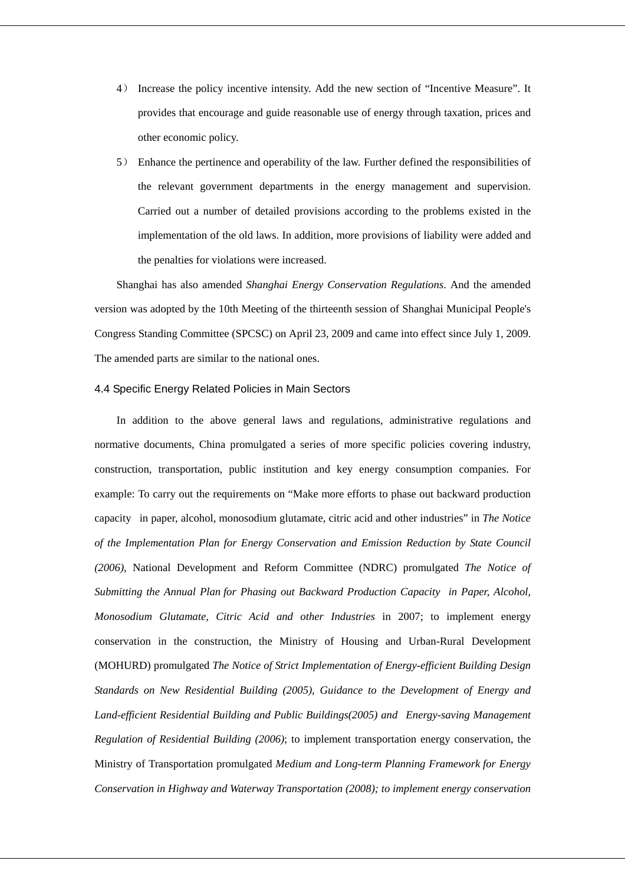- 4) Increase the policy incentive intensity. Add the new section of "Incentive Measure". It provides that encourage and guide reasonable use of energy through taxation, prices and other economic policy.
- 5) Enhance the pertinence and operability of the law. Further defined the responsibilities of the relevant government departments in the energy management and supervision. Carried out a number of detailed provisions according to the problems existed in the implementation of the old laws. In addition, more provisions of liability were added and the penalties for violations were increased.

Shanghai has also amended *Shanghai Energy Conservation Regulations*. And the amended version was adopted by the 10th Meeting of the thirteenth session of Shanghai Municipal People's Congress Standing Committee (SPCSC) on April 23, 2009 and came into effect since July 1, 2009. The amended parts are similar to the national ones.

### 4.4 Specific Energy Related Policies in Main Sectors

In addition to the above general laws and regulations, administrative regulations and normative documents, China promulgated a series of more specific policies covering industry, construction, transportation, public institution and key energy consumption companies. For example: To carry out the requirements on "Make more efforts to phase out backward production capacity in paper, alcohol, monosodium glutamate, citric acid and other industries" in *The Notice of the Implementation Plan for Energy Conservation and Emission Reduction by State Council (2006)*, National Development and Reform Committee (NDRC) promulgated *The Notice of Submitting the Annual Plan for Phasing out Backward Production Capacity in Paper, Alcohol, Monosodium Glutamate, Citric Acid and other Industries* in 2007; to implement energy conservation in the construction, the Ministry of Housing and Urban-Rural Development (MOHURD) promulgated *The Notice of Strict Implementation of Energy-efficient Building Design Standards on New Residential Building (2005)*, *Guidance to the Development of Energy and Land-efficient Residential Building and Public Buildings(2005) and Energy-saving Management Regulation of Residential Building (2006)*; to implement transportation energy conservation, the Ministry of Transportation promulgated *Medium and Long-term Planning Framework for Energy Conservation in Highway and Waterway Transportation (2008); to implement energy conservation*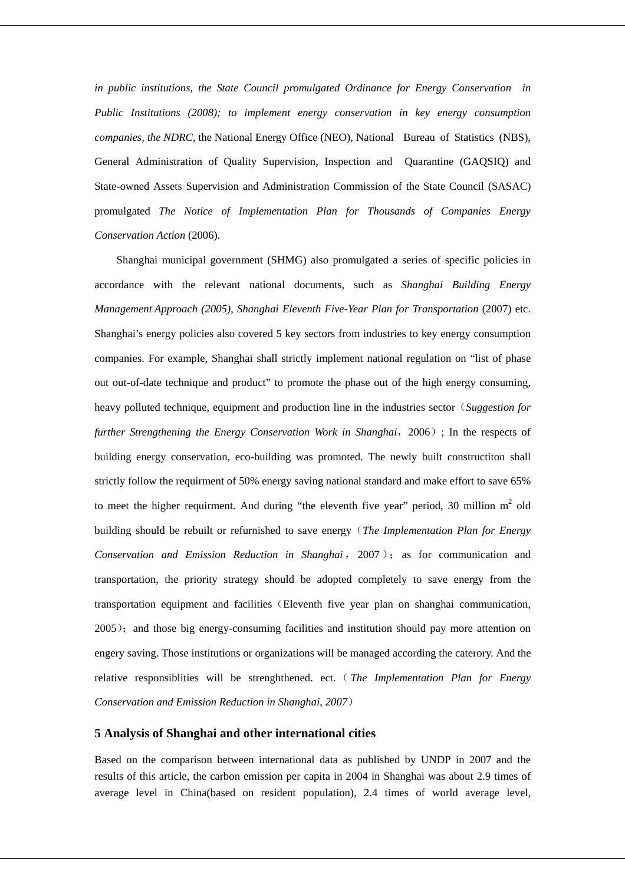*in public institutions, the State Council promulgated Ordinance for Energy Conservation in Public Institutions (2008); to implement energy conservation in key energy consumption companies, the NDRC*, the National Energy Office (NEO), National Bureau of Statistics (NBS), General Administration of Quality Supervision, Inspection and Quarantine (GAQSIQ) and State-owned Assets Supervision and Administration Commission of the State Council (SASAC) promulgated *The Notice of Implementation Plan for Thousands of Companies Energy Conservation Action* (2006).

Shanghai municipal government (SHMG) also promulgated a series of specific policies in accordance with the relevant national documents, such as *Shanghai Building Energy Management Approach (2005)*, *Shanghai Eleventh Five-Year Plan for Transportation* (2007) etc. Shanghai's energy policies also covered 5 key sectors from industries to key energy consumption companies. For example, Shanghai shall strictly implement national regulation on "list of phase out out-of-date technique and product" to promote the phase out of the high energy consuming, heavy polluted technique, equipment and production line in the industries sector (*Suggestion for further Strengthening the Energy Conservation Work in Shanghai*, 2006); In the respects of building energy conservation, eco-building was promoted. The newly built constructiton shall strictly follow the requirment of 50% energy saving national standard and make effort to save 65% to meet the higher requirment. And during "the eleventh five year" period, 30 million  $m<sup>2</sup>$  old building should be rebuilt or refurnished to save energy(*The Implementation Plan for Energy Conservation and Emission Reduction in Shanghai* , 2007 ); as for communication and transportation, the priority strategy should be adopted completely to save energy from the transportation equipment and facilities(Eleventh five year plan on shanghai communication, 2005); and those big energy-consuming facilities and institution should pay more attention on engery saving. Those institutions or organizations will be managed according the caterory. And the relative responsiblities will be strenghthened. ect.(*The Implementation Plan for Energy Conservation and Emission Reduction in Shanghai, 2007*)

### **5 Analysis of Shanghai and other international cities**

Based on the comparison between international data as published by UNDP in 2007 and the results of this article, the carbon emission per capita in 2004 in Shanghai was about 2.9 times of average level in China(based on resident population), 2.4 times of world average level,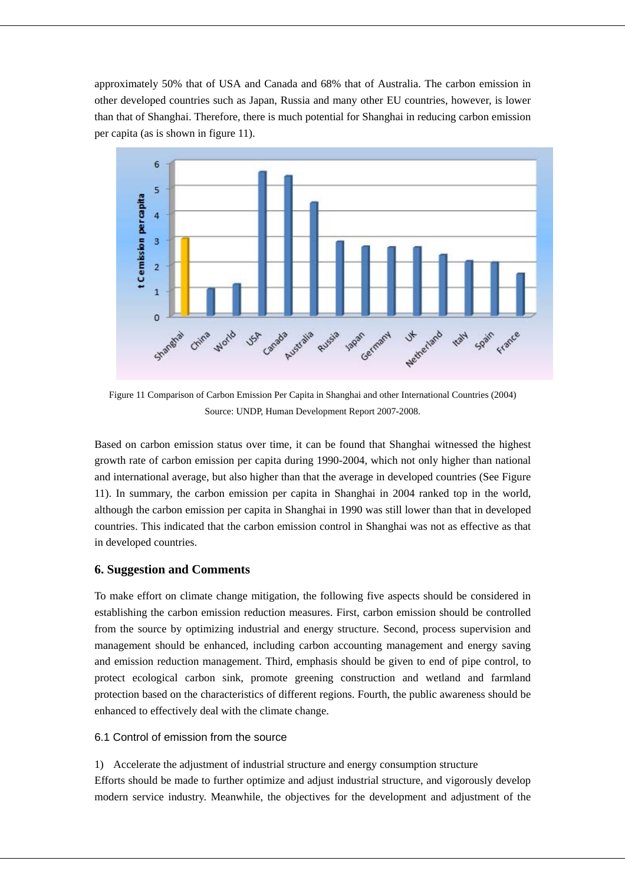approximately 50% that of USA and Canada and 68% that of Australia. The carbon emission in other developed countries such as Japan, Russia and many other EU countries, however, is lower than that of Shanghai. Therefore, there is much potential for Shanghai in reducing carbon emission per capita (as is shown in figure 11).



Figure 11 Comparison of Carbon Emission Per Capita in Shanghai and other International Countries (2004) Source: UNDP, Human Development Report 2007-2008.

Based on carbon emission status over time, it can be found that Shanghai witnessed the highest growth rate of carbon emission per capita during 1990-2004, which not only higher than national and international average, but also higher than that the average in developed countries (See Figure 11). In summary, the carbon emission per capita in Shanghai in 2004 ranked top in the world, although the carbon emission per capita in Shanghai in 1990 was still lower than that in developed countries. This indicated that the carbon emission control in Shanghai was not as effective as that in developed countries.

## **6. Suggestion and Comments**

To make effort on climate change mitigation, the following five aspects should be considered in establishing the carbon emission reduction measures. First, carbon emission should be controlled from the source by optimizing industrial and energy structure. Second, process supervision and management should be enhanced, including carbon accounting management and energy saving and emission reduction management. Third, emphasis should be given to end of pipe control, to protect ecological carbon sink, promote greening construction and wetland and farmland protection based on the characteristics of different regions. Fourth, the public awareness should be enhanced to effectively deal with the climate change.

## 6.1 Control of emission from the source

1) Accelerate the adjustment of industrial structure and energy consumption structure Efforts should be made to further optimize and adjust industrial structure, and vigorously develop modern service industry. Meanwhile, the objectives for the development and adjustment of the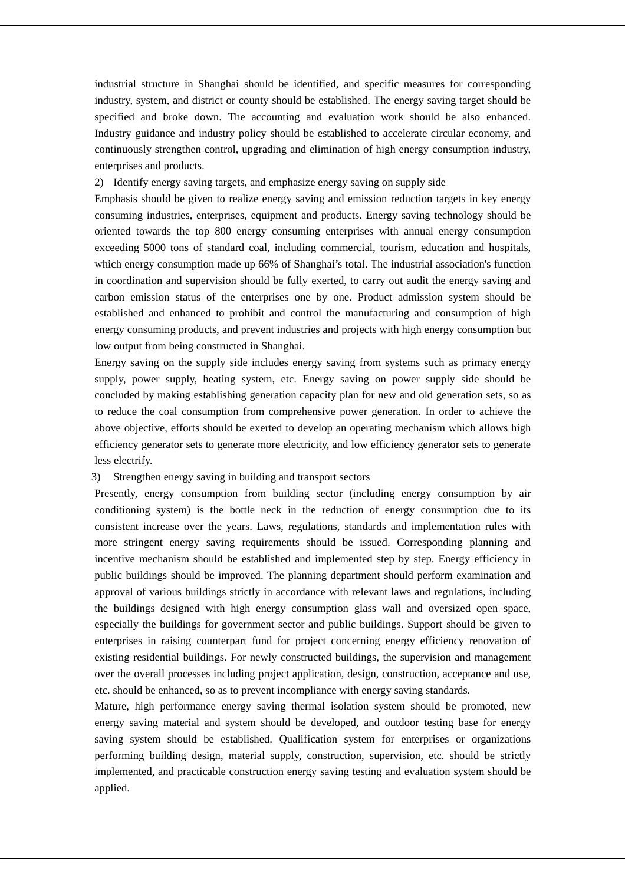industrial structure in Shanghai should be identified, and specific measures for corresponding industry, system, and district or county should be established. The energy saving target should be specified and broke down. The accounting and evaluation work should be also enhanced. Industry guidance and industry policy should be established to accelerate circular economy, and continuously strengthen control, upgrading and elimination of high energy consumption industry, enterprises and products.

2) Identify energy saving targets, and emphasize energy saving on supply side

Emphasis should be given to realize energy saving and emission reduction targets in key energy consuming industries, enterprises, equipment and products. Energy saving technology should be oriented towards the top 800 energy consuming enterprises with annual energy consumption exceeding 5000 tons of standard coal, including commercial, tourism, education and hospitals, which energy consumption made up 66% of Shanghai's total. The industrial association's function in coordination and supervision should be fully exerted, to carry out audit the energy saving and carbon emission status of the enterprises one by one. Product admission system should be established and enhanced to prohibit and control the manufacturing and consumption of high energy consuming products, and prevent industries and projects with high energy consumption but low output from being constructed in Shanghai.

Energy saving on the supply side includes energy saving from systems such as primary energy supply, power supply, heating system, etc. Energy saving on power supply side should be concluded by making establishing generation capacity plan for new and old generation sets, so as to reduce the coal consumption from comprehensive power generation. In order to achieve the above objective, efforts should be exerted to develop an operating mechanism which allows high efficiency generator sets to generate more electricity, and low efficiency generator sets to generate less electrify.

## 3) Strengthen energy saving in building and transport sectors

Presently, energy consumption from building sector (including energy consumption by air conditioning system) is the bottle neck in the reduction of energy consumption due to its consistent increase over the years. Laws, regulations, standards and implementation rules with more stringent energy saving requirements should be issued. Corresponding planning and incentive mechanism should be established and implemented step by step. Energy efficiency in public buildings should be improved. The planning department should perform examination and approval of various buildings strictly in accordance with relevant laws and regulations, including the buildings designed with high energy consumption glass wall and oversized open space, especially the buildings for government sector and public buildings. Support should be given to enterprises in raising counterpart fund for project concerning energy efficiency renovation of existing residential buildings. For newly constructed buildings, the supervision and management over the overall processes including project application, design, construction, acceptance and use, etc. should be enhanced, so as to prevent incompliance with energy saving standards.

Mature, high performance energy saving thermal isolation system should be promoted, new energy saving material and system should be developed, and outdoor testing base for energy saving system should be established. Qualification system for enterprises or organizations performing building design, material supply, construction, supervision, etc. should be strictly implemented, and practicable construction energy saving testing and evaluation system should be applied.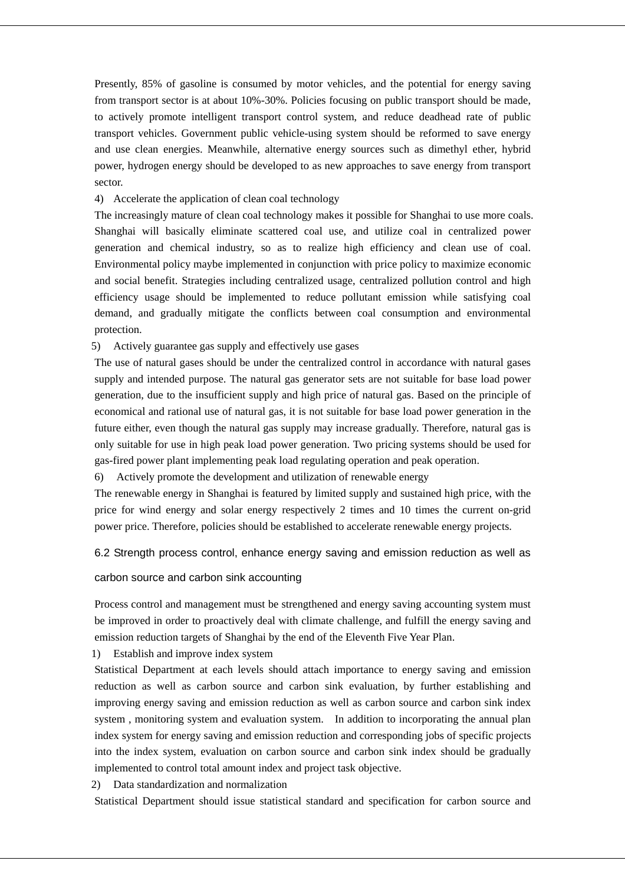Presently, 85% of gasoline is consumed by motor vehicles, and the potential for energy saving from transport sector is at about 10%-30%. Policies focusing on public transport should be made, to actively promote intelligent transport control system, and reduce deadhead rate of public transport vehicles. Government public vehicle-using system should be reformed to save energy and use clean energies. Meanwhile, alternative energy sources such as dimethyl ether, hybrid power, hydrogen energy should be developed to as new approaches to save energy from transport sector.

4) Accelerate the application of clean coal technology

The increasingly mature of clean coal technology makes it possible for Shanghai to use more coals. Shanghai will basically eliminate scattered coal use, and utilize coal in centralized power generation and chemical industry, so as to realize high efficiency and clean use of coal. Environmental policy maybe implemented in conjunction with price policy to maximize economic and social benefit. Strategies including centralized usage, centralized pollution control and high efficiency usage should be implemented to reduce pollutant emission while satisfying coal demand, and gradually mitigate the conflicts between coal consumption and environmental protection.

## 5) Actively guarantee gas supply and effectively use gases

The use of natural gases should be under the centralized control in accordance with natural gases supply and intended purpose. The natural gas generator sets are not suitable for base load power generation, due to the insufficient supply and high price of natural gas. Based on the principle of economical and rational use of natural gas, it is not suitable for base load power generation in the future either, even though the natural gas supply may increase gradually. Therefore, natural gas is only suitable for use in high peak load power generation. Two pricing systems should be used for gas-fired power plant implementing peak load regulating operation and peak operation.

6) Actively promote the development and utilization of renewable energy

The renewable energy in Shanghai is featured by limited supply and sustained high price, with the price for wind energy and solar energy respectively 2 times and 10 times the current on-grid power price. Therefore, policies should be established to accelerate renewable energy projects.

6.2 Strength process control, enhance energy saving and emission reduction as well as

#### carbon source and carbon sink accounting

Process control and management must be strengthened and energy saving accounting system must be improved in order to proactively deal with climate challenge, and fulfill the energy saving and emission reduction targets of Shanghai by the end of the Eleventh Five Year Plan.

1) Establish and improve index system

Statistical Department at each levels should attach importance to energy saving and emission reduction as well as carbon source and carbon sink evaluation, by further establishing and improving energy saving and emission reduction as well as carbon source and carbon sink index system , monitoring system and evaluation system. In addition to incorporating the annual plan index system for energy saving and emission reduction and corresponding jobs of specific projects into the index system, evaluation on carbon source and carbon sink index should be gradually implemented to control total amount index and project task objective.

2) Data standardization and normalization

Statistical Department should issue statistical standard and specification for carbon source and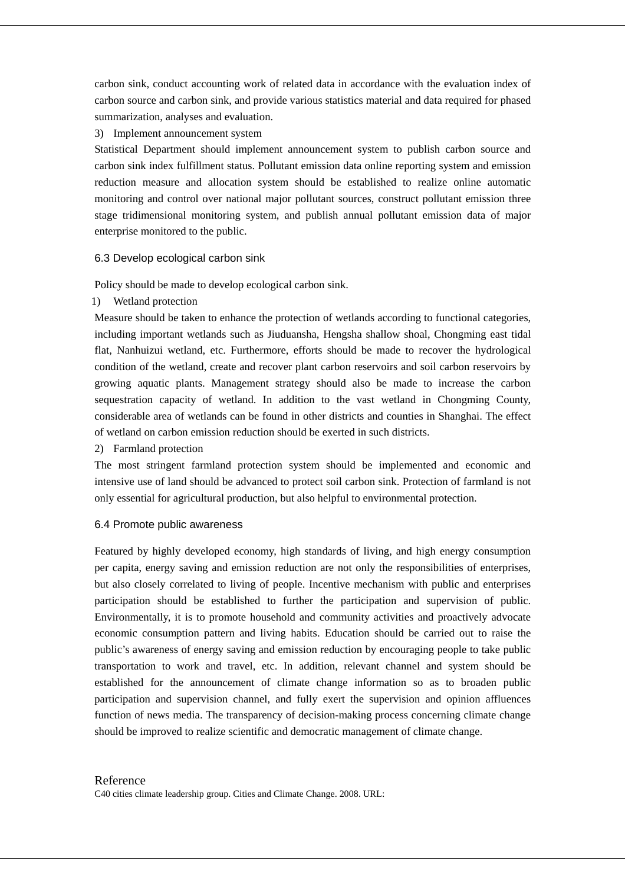carbon sink, conduct accounting work of related data in accordance with the evaluation index of carbon source and carbon sink, and provide various statistics material and data required for phased summarization, analyses and evaluation.

3) Implement announcement system

Statistical Department should implement announcement system to publish carbon source and carbon sink index fulfillment status. Pollutant emission data online reporting system and emission reduction measure and allocation system should be established to realize online automatic monitoring and control over national major pollutant sources, construct pollutant emission three stage tridimensional monitoring system, and publish annual pollutant emission data of major enterprise monitored to the public.

### 6.3 Develop ecological carbon sink

Policy should be made to develop ecological carbon sink.

1) Wetland protection

Measure should be taken to enhance the protection of wetlands according to functional categories, including important wetlands such as Jiuduansha, Hengsha shallow shoal, Chongming east tidal flat, Nanhuizui wetland, etc. Furthermore, efforts should be made to recover the hydrological condition of the wetland, create and recover plant carbon reservoirs and soil carbon reservoirs by growing aquatic plants. Management strategy should also be made to increase the carbon sequestration capacity of wetland. In addition to the vast wetland in Chongming County, considerable area of wetlands can be found in other districts and counties in Shanghai. The effect of wetland on carbon emission reduction should be exerted in such districts.

2) Farmland protection

The most stringent farmland protection system should be implemented and economic and intensive use of land should be advanced to protect soil carbon sink. Protection of farmland is not only essential for agricultural production, but also helpful to environmental protection.

### 6.4 Promote public awareness

Featured by highly developed economy, high standards of living, and high energy consumption per capita, energy saving and emission reduction are not only the responsibilities of enterprises, but also closely correlated to living of people. Incentive mechanism with public and enterprises participation should be established to further the participation and supervision of public. Environmentally, it is to promote household and community activities and proactively advocate economic consumption pattern and living habits. Education should be carried out to raise the public's awareness of energy saving and emission reduction by encouraging people to take public transportation to work and travel, etc. In addition, relevant channel and system should be established for the announcement of climate change information so as to broaden public participation and supervision channel, and fully exert the supervision and opinion affluences function of news media. The transparency of decision-making process concerning climate change should be improved to realize scientific and democratic management of climate change.

#### Reference

C40 cities climate leadership group. Cities and Climate Change. 2008. URL: